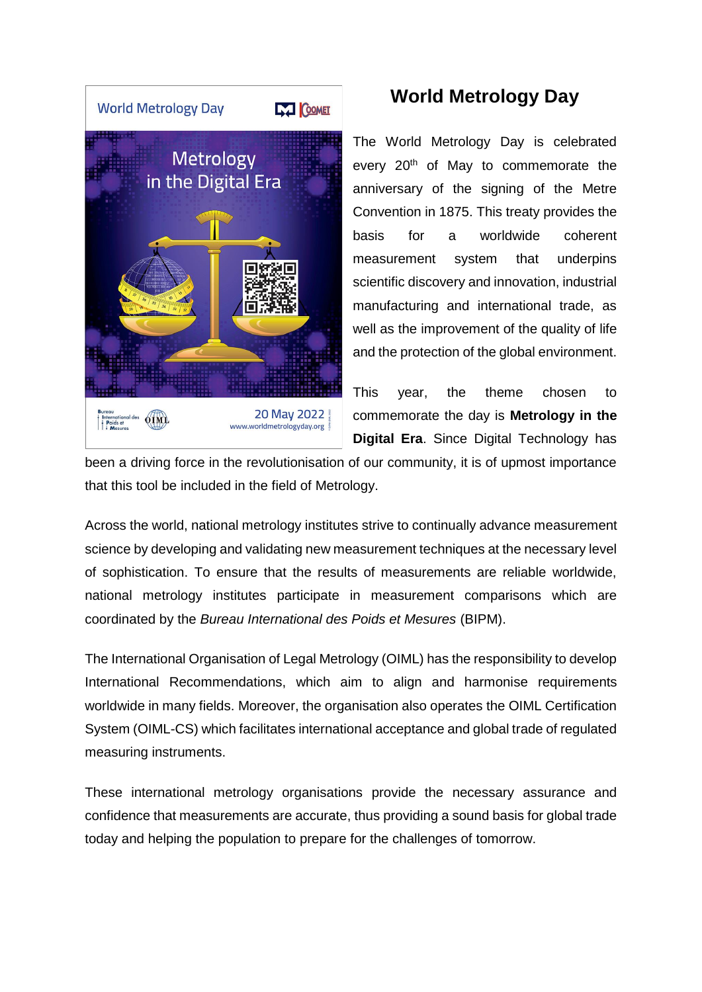

## **World Metrology Day**

The World Metrology Day is celebrated every 20<sup>th</sup> of May to commemorate the anniversary of the signing of the Metre Convention in 1875. This treaty provides the basis for a worldwide coherent measurement system that underpins scientific discovery and innovation, industrial manufacturing and international trade, as well as the improvement of the quality of life and the protection of the global environment.

This year, the theme chosen to commemorate the day is **Metrology in the Digital Era**. Since Digital Technology has

been a driving force in the revolutionisation of our community, it is of upmost importance that this tool be included in the field of Metrology.

Across the world, national metrology institutes strive to continually advance measurement science by developing and validating new measurement techniques at the necessary level of sophistication. To ensure that the results of measurements are reliable worldwide, national metrology institutes participate in measurement comparisons which are coordinated by the *Bureau International des Poids et Mesures* (BIPM).

The International Organisation of Legal Metrology (OIML) has the responsibility to develop International Recommendations, which aim to align and harmonise requirements worldwide in many fields. Moreover, the organisation also operates the OIML Certification System (OIML-CS) which facilitates international acceptance and global trade of regulated measuring instruments.

These international metrology organisations provide the necessary assurance and confidence that measurements are accurate, thus providing a sound basis for global trade today and helping the population to prepare for the challenges of tomorrow.